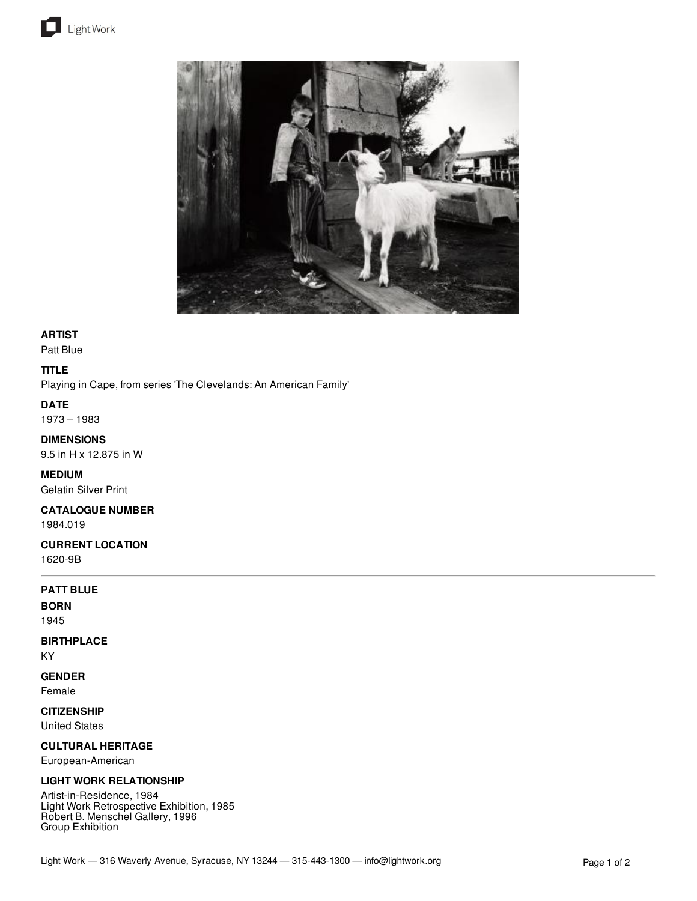



## **ARTIST**

Patt Blue

## **TITLE**

Playing in Cape, from series 'The Clevelands: An American Family'

### **DATE**

1973 – 1983

### **DIMENSIONS**

9.5 in H x 12.875 in W

### **MEDIUM**

Gelatin Silver Print

# **CATALOGUE NUMBER**

1984.019

### **CURRENT LOCATION** 1620-9B

## **PATT BLUE**

**BORN**

1945

# **BIRTHPLACE**

KY

# **GENDER**

Female

# **CITIZENSHIP**

United States

# **CULTURAL HERITAGE**

European-American

### **LIGHT WORK RELATIONSHIP**

Artist-in-Residence, 1984 Light Work Retrospective Exhibition, 1985 Robert B. Menschel Gallery, 1996 Group Exhibition